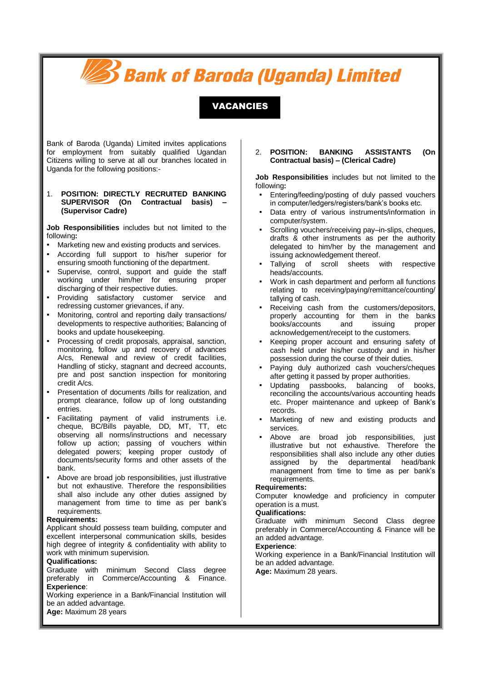# **Bank of Baroda (Uganda) Limited**

VACANCIES

Bank of Baroda (Uganda) Limited invites applications for employment from suitably qualified Ugandan Citizens willing to serve at all our branches located in Uganda for the following positions:-

#### 1. **POSITION: DIRECTLY RECRUITED BANKING SUPERVISOR (On Contractual basis) – (Supervisor Cadre)**

**Job Responsibilities** includes but not limited to the following**:**

- Marketing new and existing products and services.
- According full support to his/her superior for ensuring smooth functioning of the department.
- Supervise, control, support and quide the staff working under him/her for ensuring proper discharging of their respective duties.
- Providing satisfactory customer service and redressing customer grievances, if any.
- Monitoring, control and reporting daily transactions/ developments to respective authorities; Balancing of books and update housekeeping.
- Processing of credit proposals, appraisal, sanction, monitoring, follow up and recovery of advances A/cs, Renewal and review of credit facilities, Handling of sticky, stagnant and decreed accounts, pre and post sanction inspection for monitoring credit A/cs.
- Presentation of documents /bills for realization, and prompt clearance, follow up of long outstanding entries.
- Facilitating payment of valid instruments i.e. cheque, BC/Bills payable, DD, MT, TT, etc observing all norms/instructions and necessary follow up action; passing of vouchers within delegated powers; keeping proper custody of documents/security forms and other assets of the bank.
- Above are broad job responsibilities, just illustrative but not exhaustive. Therefore the responsibilities shall also include any other duties assigned by management from time to time as per bank's requirements.

#### **Requirements:**

Applicant should possess team building, computer and excellent interpersonal communication skills, besides high degree of integrity & confidentiality with ability to work with minimum supervision.

#### **Qualifications:**

Graduate with minimum Second Class degree preferably in Commerce/Accounting & Finance. **Experience**:

Working experience in a Bank/Financial Institution will be an added advantage.

**Age:** Maximum 28 years

# 2. **POSITION: BANKING ASSISTANTS (On Contractual basis) – (Clerical Cadre)**

**Job Responsibilities** includes but not limited to the following**:**

- Entering/feeding/posting of duly passed vouchers in computer/ledgers/registers/bank's books etc.
- Data entry of various instruments/information in computer/system.
- Scrolling vouchers/receiving pay-in-slips, cheques, drafts & other instruments as per the authority delegated to him/her by the management and issuing acknowledgement thereof.
- Tallying of scroll sheets with respective heads/accounts.
- Work in cash department and perform all functions relating to receiving/paying/remittance/counting/ tallying of cash.
- Receiving cash from the customers/depositors, properly accounting for them in the banks<br>books/accounts and issuing proper books/accounts and issuing proper acknowledgement/receipt to the customers.
- Keeping proper account and ensuring safety of cash held under his/her custody and in his/her possession during the course of their duties.
- Paying duly authorized cash vouchers/cheques after getting it passed by proper authorities.
- Updating passbooks, balancing of books, reconciling the accounts/various accounting heads etc. Proper maintenance and upkeep of Bank's records.
- Marketing of new and existing products and services.
- Above are broad job responsibilities, just illustrative but not exhaustive. Therefore the responsibilities shall also include any other duties assigned by the departmental head/bank management from time to time as per bank's requirements.

### **Requirements:**

Computer knowledge and proficiency in computer operation is a must.

#### **Qualifications:**

Graduate with minimum Second Class degree preferably in Commerce/Accounting & Finance will be an added advantage.

# **Experience**:

Working experience in a Bank/Financial Institution will be an added advantage.

**Age:** Maximum 28 years.